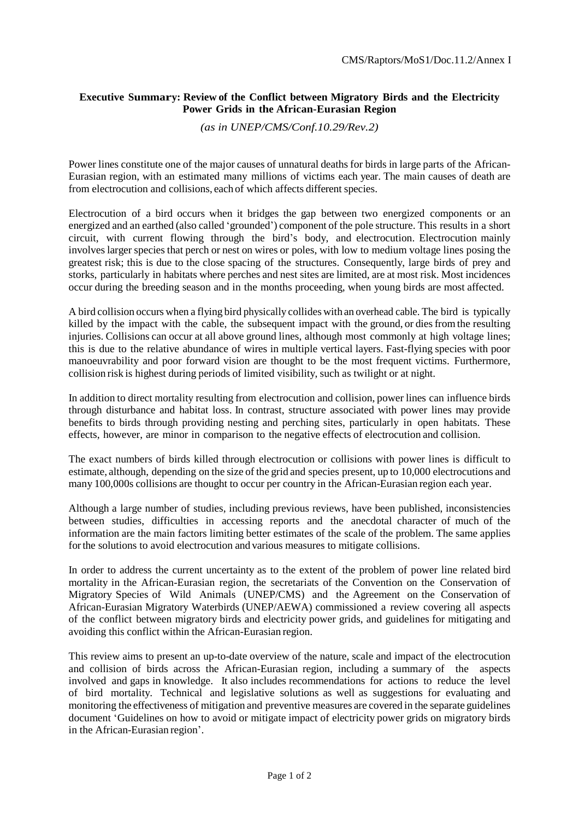## **Executive Summary: Review of the Conflict between Migratory Birds and the Electricity Power Grids in the African-Eurasian Region**

*(as in UNEP/CMS/Conf.10.29/Rev.2)*

Power lines constitute one of the major causes of unnatural deaths for birds in large parts of the African-Eurasian region, with an estimated many millions of victims each year. The main causes of death are from electrocution and collisions, each of which affects different species.

Electrocution of a bird occurs when it bridges the gap between two energized components or an energized and an earthed (also called 'grounded') component of the pole structure. This results in a short circuit, with current flowing through the bird's body, and electrocution. Electrocution mainly involves larger species that perch or nest on wires or poles, with low to medium voltage lines posing the greatest risk; this is due to the close spacing of the structures. Consequently, large birds of prey and storks, particularly in habitats where perches and nest sites are limited, are at most risk. Most incidences occur during the breeding season and in the months proceeding, when young birds are most affected.

A bird collision occurs when a flying bird physically collides with an overhead cable. The bird is typically killed by the impact with the cable, the subsequent impact with the ground, or diesfromthe resulting injuries. Collisions can occur at all above ground lines, although most commonly at high voltage lines; this is due to the relative abundance of wires in multiple vertical layers. Fast-flying species with poor manoeuvrability and poor forward vision are thought to be the most frequent victims. Furthermore, collision risk is highest during periods of limited visibility, such as twilight or at night.

In addition to direct mortality resulting from electrocution and collision, power lines can influence birds through disturbance and habitat loss. In contrast, structure associated with power lines may provide benefits to birds through providing nesting and perching sites, particularly in open habitats. These effects, however, are minor in comparison to the negative effects of electrocution and collision.

The exact numbers of birds killed through electrocution or collisions with power lines is difficult to estimate, although, depending on the size of the grid and species present, up to 10,000 electrocutions and many 100,000s collisions are thought to occur per country in the African-Eurasian region each year.

Although a large number of studies, including previous reviews, have been published, inconsistencies between studies, difficulties in accessing reports and the anecdotal character of much of the information are the main factors limiting better estimates of the scale of the problem. The same applies forthe solutions to avoid electrocution and various measures to mitigate collisions.

In order to address the current uncertainty as to the extent of the problem of power line related bird mortality in the African-Eurasian region, the secretariats of the Convention on the Conservation of Migratory Species of Wild Animals (UNEP/CMS) and the Agreement on the Conservation of African-Eurasian Migratory Waterbirds (UNEP/AEWA) commissioned a review covering all aspects of the conflict between migratory birds and electricity power grids, and guidelines for mitigating and avoiding this conflict within the African-Eurasian region.

This review aims to present an up-to-date overview of the nature, scale and impact of the electrocution and collision of birds across the African-Eurasian region, including a summary of the aspects involved and gaps in knowledge. It also includes recommendations for actions to reduce the level of bird mortality. Technical and legislative solutions as well as suggestions for evaluating and monitoring the effectiveness of mitigation and preventive measures are covered in the separate guidelines document 'Guidelines on how to avoid or mitigate impact of electricity power grids on migratory birds in the African-Eurasian region'.